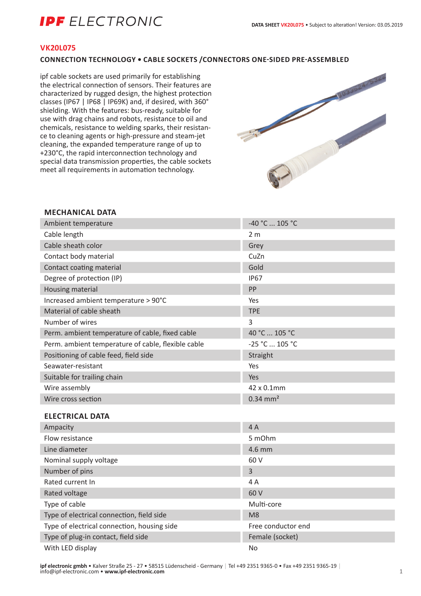# **IPF** ELECTRONIC

### **VK20L075**

### **CONNECTION TECHNOLOGY • CABLE SOCKETS /CONNECTORS ONE-SIDED PRE-ASSEMBLED**

ipf cable sockets are used primarily for establishing the electrical connection of sensors. Their features are characterized by rugged design, the highest protection classes (IP67 | IP68 | IP69K) and, if desired, with 360° shielding. With the features: bus-ready, suitable for use with drag chains and robots, resistance to oil and chemicals, resistance to welding sparks, their resistance to cleaning agents or high-pressure and steam-jet cleaning, the expanded temperature range of up to +230°C, the rapid interconnection technology and special data transmission properties, the cable sockets meet all requirements in automation technology.



### **MECHANICAL DATA**

| Ambient temperature                                | -40 °C  105 °C         |
|----------------------------------------------------|------------------------|
| Cable length                                       | 2 <sub>m</sub>         |
| Cable sheath color                                 | Grey                   |
| Contact body material                              | CuZn                   |
| Contact coating material                           | Gold                   |
| Degree of protection (IP)                          | <b>IP67</b>            |
| Housing material                                   | PP                     |
| Increased ambient temperature > 90°C               | Yes                    |
| Material of cable sheath                           | <b>TPE</b>             |
| Number of wires                                    | 3                      |
| Perm. ambient temperature of cable, fixed cable    | 40 °C  105 °C          |
| Perm. ambient temperature of cable, flexible cable | -25 °C  105 °C         |
| Positioning of cable feed, field side              | Straight               |
| Seawater-resistant                                 | Yes                    |
| Suitable for trailing chain                        | Yes                    |
| Wire assembly                                      | 42 x 0.1mm             |
| Wire cross section                                 | $0.34$ mm <sup>2</sup> |
| <b>ELECTRICAL DATA</b>                             |                        |
| Ampacity                                           | 4A                     |
| Flow resistance                                    | 5 mOhm                 |
| Line diameter                                      | 4.6 mm                 |

| Line diameter                               | $4.6$ mm           |
|---------------------------------------------|--------------------|
| Nominal supply voltage                      | 60 V               |
| Number of pins                              | 3                  |
| Rated current In                            | 4 A                |
| Rated voltage                               | 60 V               |
| Type of cable                               | Multi-core         |
| Type of electrical connection, field side   | M8                 |
| Type of electrical connection, housing side | Free conductor end |
| Type of plug-in contact, field side         | Female (socket)    |
| With LED display                            | No.                |